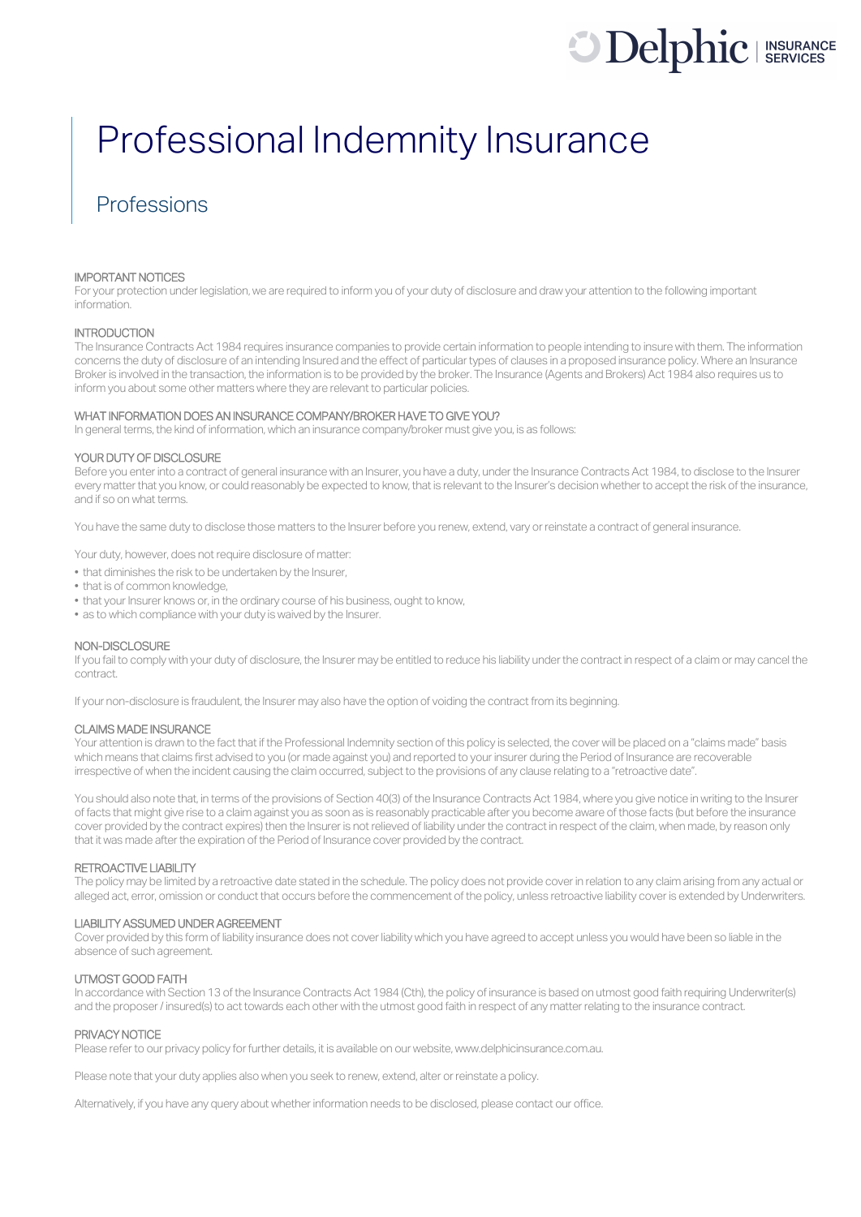# **Delphic** I INSURANCE

## Professional Indemnity Insurance

## Professions

#### IMPORTANT NOTICES

For your protection under legislation, we are required to inform you of your duty of disclosure and draw your attention to the following important information.

#### **INTRODUCTION**

The Insurance Contracts Act 1984 requires insurance companies to provide certain information to people intending to insure with them. The information concerns the duty of disclosure of an intending Insured and the effect of particular types of clauses in a proposed insurance policy. Where an Insurance Broker is involved in the transaction, the information is to be provided by the broker. The Insurance (Agents and Brokers) Act 1984 also requires us to inform you about some other matters where they are relevant to particular policies.

#### WHAT INFORMATION DOES AN INSURANCE COMPANY/BROKER HAVE TO GIVE YOU?

In general terms, the kind of information, which an insurance company/broker must give you, is as follows:

#### YOUR DUTY OF DISCLOSURE

Before you enter into a contract of general insurance with an Insurer, you have a duty, under the Insurance Contracts Act 1984, to disclose to the Insurer every matter that you know, or could reasonably be expected to know, that is relevant to the Insurer's decision whether to accept the risk of the insurance, and if so on what terms.

You have the same duty to disclose those matters to the Insurer before you renew, extend, vary or reinstate a contract of general insurance.

Your duty, however, does not require disclosure of matter:

- that diminishes the risk to be undertaken by the Insurer,
- that is of common knowledge,
- that your Insurer knows or, in the ordinary course of his business, ought to know,
- as to which compliance with your duty is waived by the Insurer.

#### NON-DISCLOSURE

If you fail to comply with your duty of disclosure, the Insurer may be entitled to reduce his liability under the contract in respect of a claim or may cancel the contract.

If your non-disclosure is fraudulent, the Insurer may also have the option of voiding the contract from its beginning.

#### CLAIMS MADE INSURANCE

Your attention is drawn to the fact that if the Professional Indemnity section of this policy is selected, the cover will be placed on a "claims made" basis which means that claims first advised to you (or made against you) and reported to your insurer during the Period of Insurance are recoverable irrespective of when the incident causing the claim occurred, subject to the provisions of any clause relating to a "retroactive date".

You should also note that, in terms of the provisions of Section 40(3) of the Insurance Contracts Act 1984, where you give notice in writing to the Insurer of facts that might give rise to a claim against you as soon as is reasonably practicable after you become aware of those facts (but before the insurance cover provided by the contract expires) then the Insurer is not relieved of liability under the contract in respect of the claim, when made, by reason only that it was made after the expiration of the Period of Insurance cover provided by the contract.

#### RETROACTIVE LIABILITY

The policy may be limited by a retroactive date stated in the schedule. The policy does not provide cover in relation to any claim arising from any actual or alleged act, error, omission or conduct that occurs before the commencement of the policy, unless retroactive liability cover is extended by Underwriters.

#### LIABILITY ASSUMED UNDER AGREEMENT

Cover provided by this form of liability insurance does not cover liability which you have agreed to accept unless you would have been so liable in the absence of such agreement.

#### UTMOST GOOD FAITH

In accordance with Section 13 of the Insurance Contracts Act 1984 (Cth), the policy of insurance is based on utmost good faith requiring Underwriter(s) and the proposer/ insured(s) to act towards each other with the utmost good faith in respect of any matter relating to the insurance contract.

#### PRIVACY NOTICE

Please refer to our privacy policy for further details, it is available on our website, www.delphicinsurance.com.au.

Please note that your duty applies also when you seek to renew, extend, alter or reinstate a policy.

Alternatively, if you have any query about whether information needs to be disclosed, please contact our office.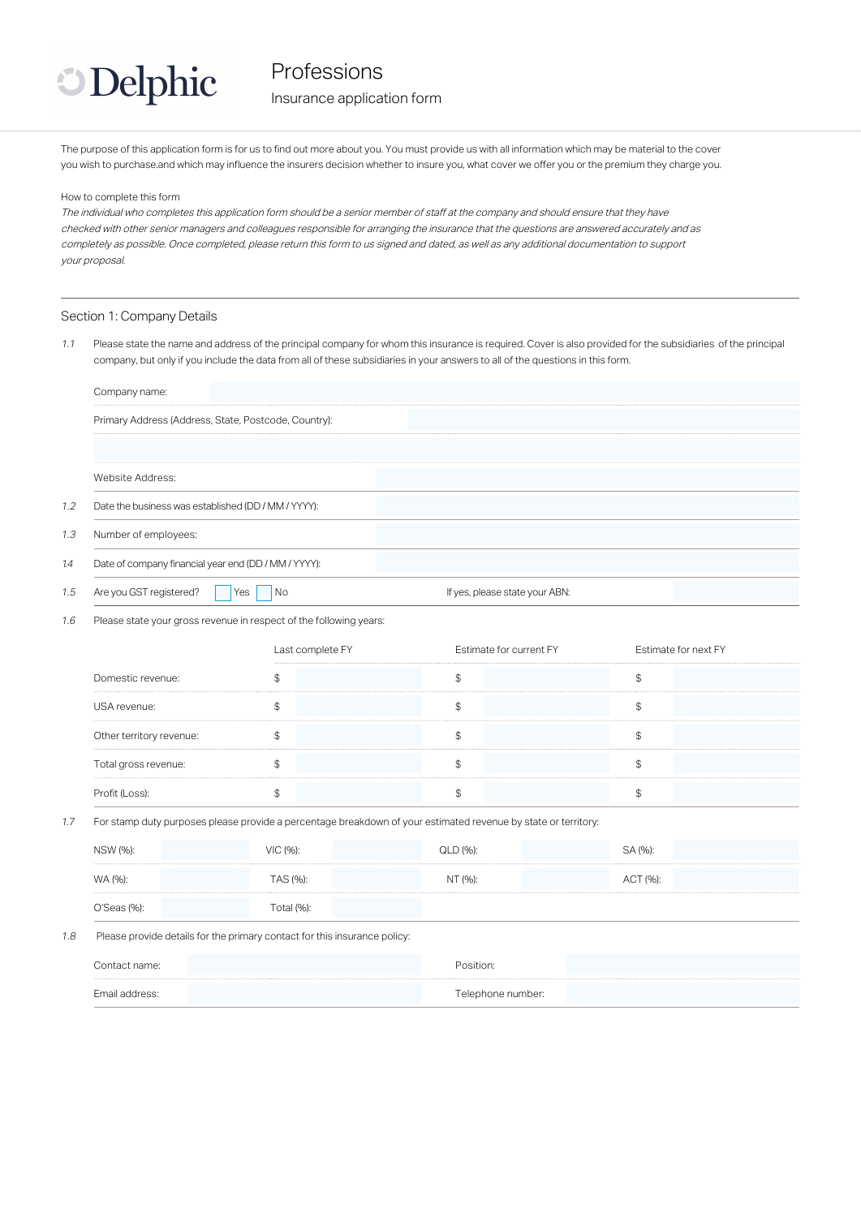

#### Insurance application form

The purpose of this application form is for us to find out more about you. You must provide us with all information which may be material to the cover you wish to purchase.and which may influence the insurers decision whether to insure you, what cover we offer you or the premium they charge you.

How to complete this form

The individual who completes this application form should be a senior member of staff at the company and should ensure that they have checked with other senior managers and colleagues responsible for arranging the insurance that the questions are answered accurately and as completely as possible. Once completed, please return this form to us signed and dated, as well as any additional documentation to support your proposal.

#### Section 1: Company Details

1.1 Please state the name and address of the principal company for whom this insurance is required. Cover is also provided for the subsidiaries of the principal company, but only if you include the data from all of these subsidiaries in your answers to all of the questions in this form.

|     | Company name:                                        |           |                                |  |  |
|-----|------------------------------------------------------|-----------|--------------------------------|--|--|
|     | Primary Address (Address, State, Postcode, Country): |           |                                |  |  |
|     | Website Address:                                     |           |                                |  |  |
|     |                                                      |           |                                |  |  |
| 1.2 | Date the business was established (DD / MM / YYYY):  |           |                                |  |  |
| 1.3 | Number of employees:                                 |           |                                |  |  |
| 1.4 | Date of company financial year end (DD / MM / YYYY): |           |                                |  |  |
| 1.5 | Are you GST registered?                              | Yes<br>Nο | If yes, please state your ABN: |  |  |

1.6 Please state your gross revenue in respect of the following years:

|                          | Last complete FY | Estimate for current FY | Estimate for next FY |
|--------------------------|------------------|-------------------------|----------------------|
| Domestic revenue:        |                  |                         |                      |
| USA revenue:             |                  |                         |                      |
| Other territory revenue: |                  |                         |                      |
| Total gross revenue:     |                  |                         |                      |
|                          |                  |                         |                      |

#### 1.7 For stamp duty purposes please provide a percentage breakdown of your estimated revenue by state or territory:

| NSW (%):          | VIC (%):        | QLD (%): | SA (%):  |  |
|-------------------|-----------------|----------|----------|--|
| WA (%):           | <b>FAS (%):</b> | NT (%):  | ACT (%): |  |
| $O'Seas$ $(\%)$ : | Total (%).      |          |          |  |

#### 1.8 Please provide details for the primary contact for this insurance policy:

| Contact name:  | Position:         |  |
|----------------|-------------------|--|
| Email address: | Telephone number: |  |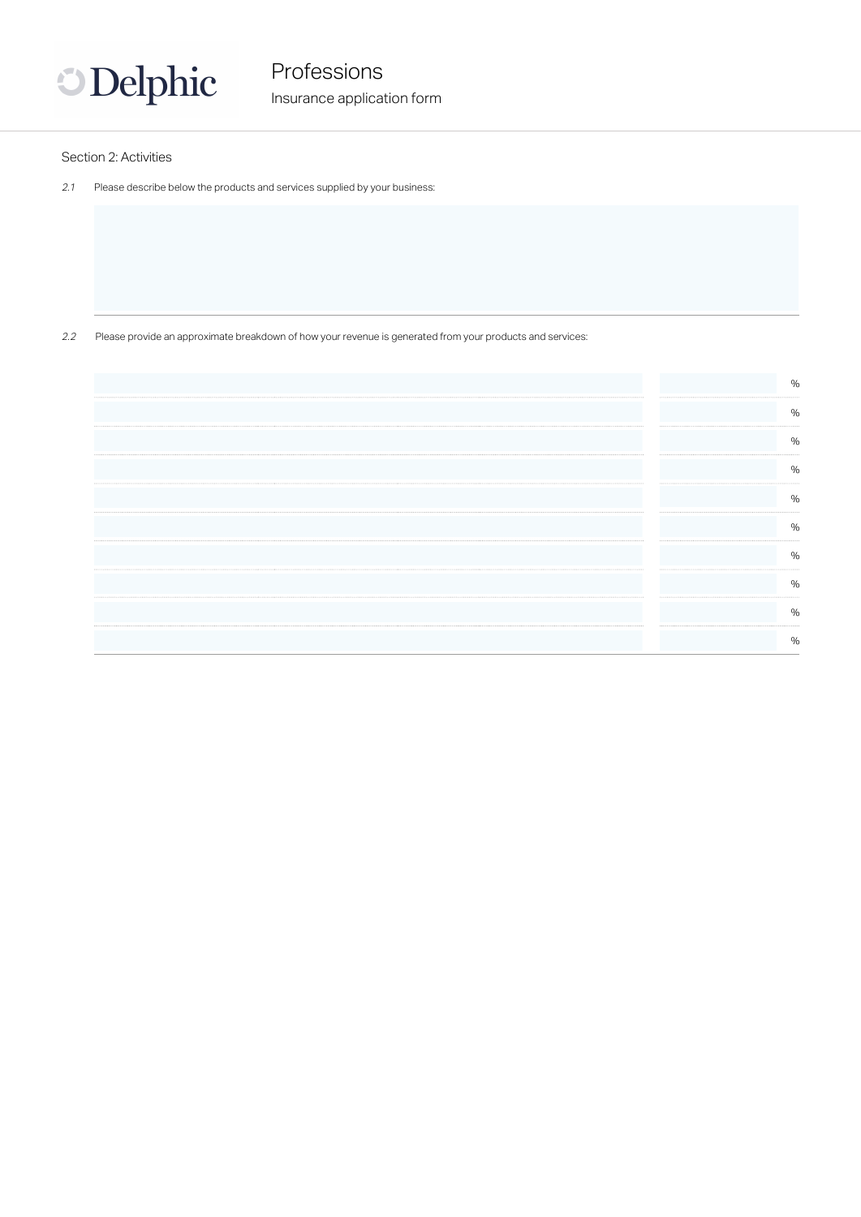

Insurance application form

#### Section 2: Activities

2.1 Please describe below the products and services supplied by your business:

2.2 Please provide an approximate breakdown of how your revenue is generated from your products and services:

| %<br>%<br>%<br>%<br>%<br><br><br>%<br><br>%<br><br><br><br>%<br>% | $\%$ |
|-------------------------------------------------------------------|------|
|                                                                   |      |
|                                                                   |      |
|                                                                   |      |
|                                                                   |      |
|                                                                   |      |
|                                                                   |      |
|                                                                   |      |
|                                                                   |      |
|                                                                   |      |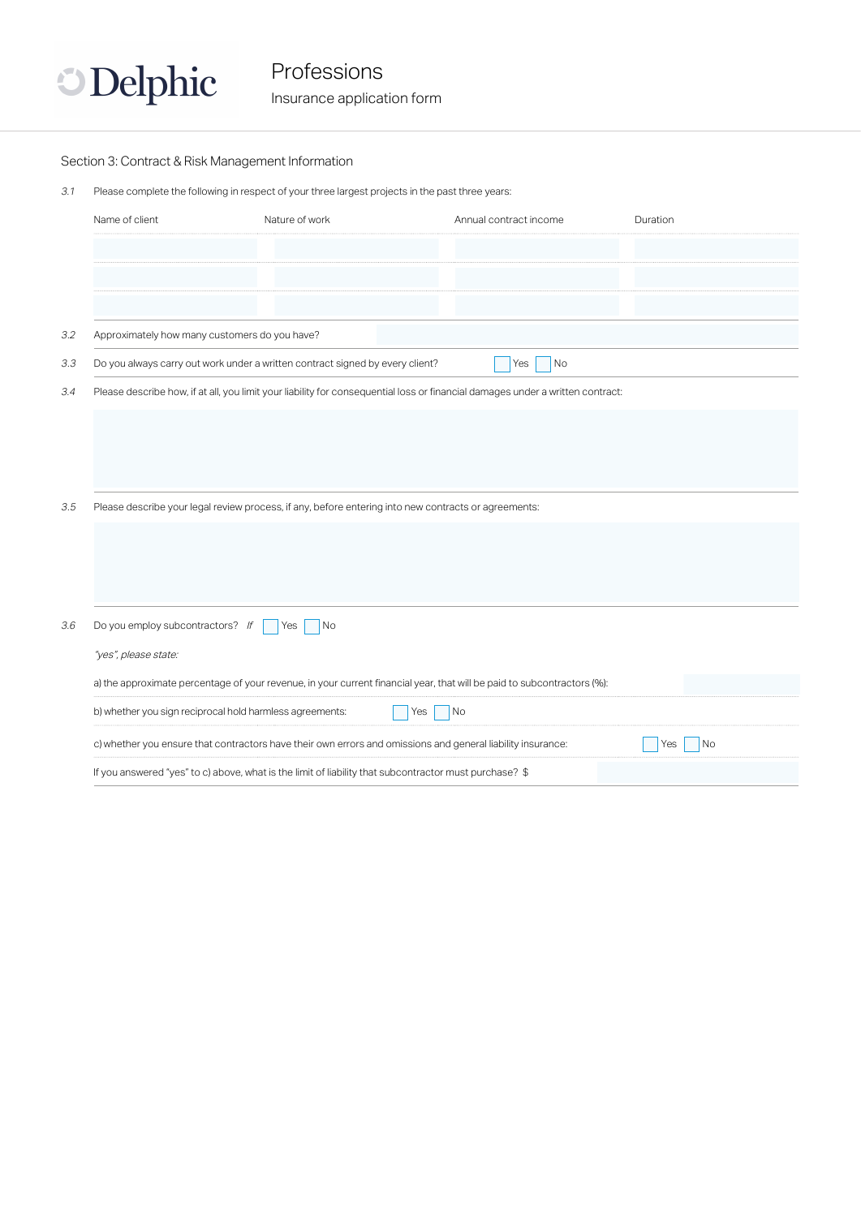

Insurance application form

#### Section 3: Contract & Risk Management Information

3.1 Please complete the following in respect of your three largest projects in the past three years:

| Name of client                                | Nature of work                                                                                              | Annual contract income                                                                                                         | Duration  |
|-----------------------------------------------|-------------------------------------------------------------------------------------------------------------|--------------------------------------------------------------------------------------------------------------------------------|-----------|
|                                               |                                                                                                             |                                                                                                                                |           |
|                                               |                                                                                                             |                                                                                                                                |           |
|                                               |                                                                                                             |                                                                                                                                |           |
|                                               |                                                                                                             |                                                                                                                                |           |
| Approximately how many customers do you have? |                                                                                                             |                                                                                                                                |           |
|                                               | Do you always carry out work under a written contract signed by every client?                               | Yes<br>No                                                                                                                      |           |
|                                               |                                                                                                             | Please describe how, if at all, you limit your liability for consequential loss or financial damages under a written contract: |           |
|                                               |                                                                                                             |                                                                                                                                |           |
|                                               |                                                                                                             |                                                                                                                                |           |
|                                               |                                                                                                             |                                                                                                                                |           |
|                                               |                                                                                                             |                                                                                                                                |           |
|                                               | Please describe your legal review process, if any, before entering into new contracts or agreements:        |                                                                                                                                |           |
|                                               |                                                                                                             |                                                                                                                                |           |
|                                               |                                                                                                             |                                                                                                                                |           |
|                                               |                                                                                                             |                                                                                                                                |           |
|                                               |                                                                                                             |                                                                                                                                |           |
| Do you employ subcontractors? If              | No<br>Yes                                                                                                   |                                                                                                                                |           |
| "yes", please state:                          |                                                                                                             |                                                                                                                                |           |
|                                               |                                                                                                             |                                                                                                                                |           |
|                                               |                                                                                                             | a) the approximate percentage of your revenue, in your current financial year, that will be paid to subcontractors (%):        |           |
|                                               | b) whether you sign reciprocal hold harmless agreements:                                                    | No<br>Yes                                                                                                                      |           |
|                                               | c) whether you ensure that contractors have their own errors and omissions and general liability insurance: |                                                                                                                                | No<br>Yes |
|                                               | If you answered "yes" to c) above, what is the limit of liability that subcontractor must purchase? \$      |                                                                                                                                |           |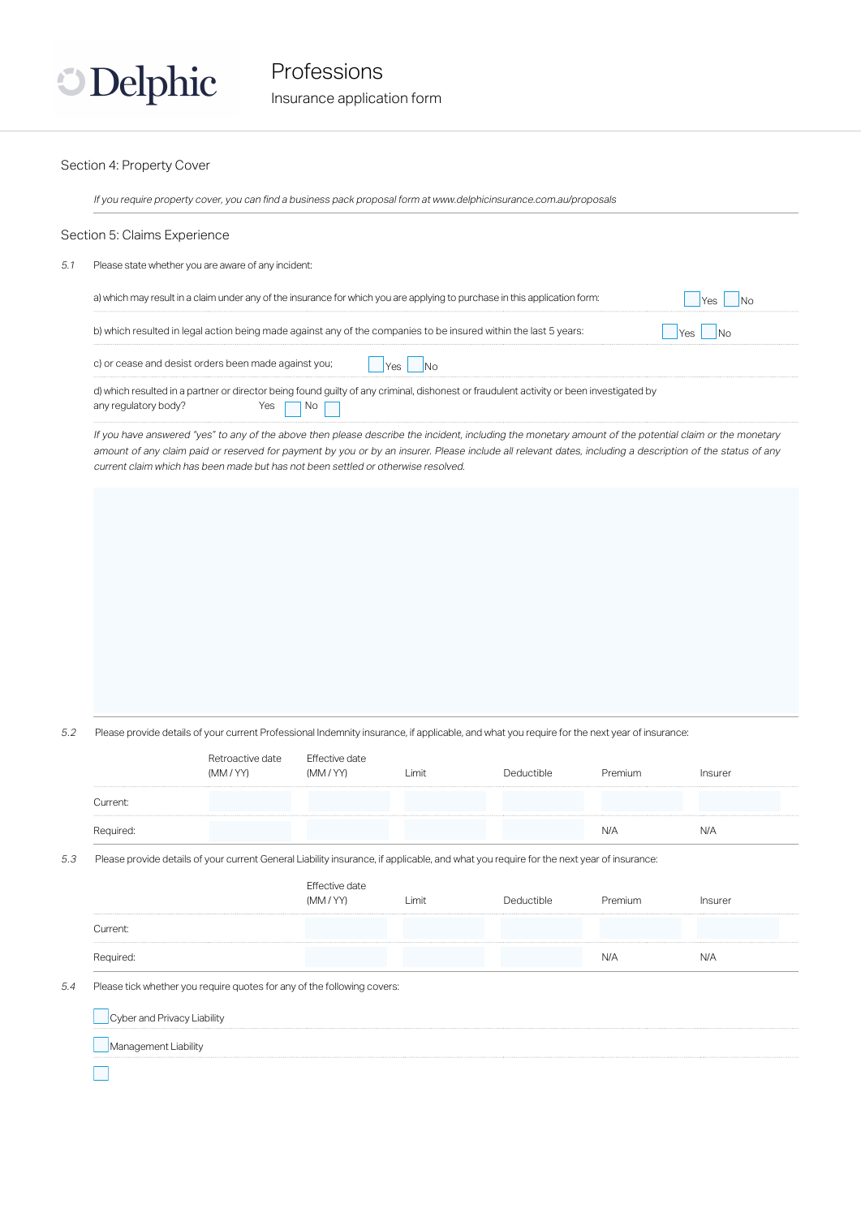

#### Insurance application form

#### Section 4: Property Cover

If you require property cover, you can find a business pack proposal form at www.delphicinsurance.com.au/proposals

#### Section 5: Claims Experience

5.1 Please state whether you are aware of any incident:

| a) which may result in a claim under any of the insurance for which you are applying to purchase in this application form:                                      |  |  |  |  |  |
|-----------------------------------------------------------------------------------------------------------------------------------------------------------------|--|--|--|--|--|
| b) which resulted in legal action being made against any of the companies to be insured within the last 5 years:                                                |  |  |  |  |  |
| c) or cease and desist orders been made against you;                                                                                                            |  |  |  |  |  |
| d) which resulted in a partner or director being found guilty of any criminal, dishonest or fraudulent activity or been investigated by<br>any regulatory body? |  |  |  |  |  |

If you have answered "yes" to any of the above then please describe the incident, including the monetary amount of the potential claim or the monetary amount of any claim paid or reserved for payment by you or by an insurer. Please include all relevant dates, including a description of the status of any current claim which has been made but has not been settled or otherwise resolved.

5.2 Please provide details of your current Professional Indemnity insurance, if applicable, and what you require for the next year of insurance:

|                             | Retroactive date<br>(MM / YY)                                                                                                           | Effective date<br>(MM / YY) | Limit | Deductible | Premium | Insurer |
|-----------------------------|-----------------------------------------------------------------------------------------------------------------------------------------|-----------------------------|-------|------------|---------|---------|
| Current:                    |                                                                                                                                         |                             |       |            |         |         |
| Required:                   |                                                                                                                                         |                             |       |            | N/A     | N/A     |
|                             | Please provide details of your current General Liability insurance, if applicable, and what you require for the next year of insurance: |                             |       |            |         |         |
|                             |                                                                                                                                         | Effective date<br>(MM/YY)   | Limit | Deductible | Premium | Insurer |
| Current:                    |                                                                                                                                         |                             |       |            |         |         |
| Required:                   |                                                                                                                                         |                             |       |            | N/A     | N/A     |
|                             | Please tick whether you require quotes for any of the following covers:                                                                 |                             |       |            |         |         |
| Cyber and Privacy Liability |                                                                                                                                         |                             |       |            |         |         |
| Management Liability        |                                                                                                                                         |                             |       |            |         |         |
|                             |                                                                                                                                         |                             |       |            |         |         |